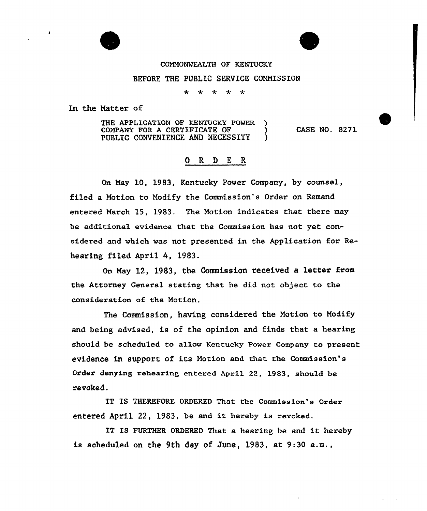

## COMMONWEALTH OF KENTUCKY

## BEFORE THE PUBLIC SERVICE COMMISSION

 $\star$ \* \* \*

In the Natter of

THE APPLICATION OF KENTUCKY POWER COMPANY FOR A CERTIFICATE OF  $\qquad$  )<br>PUBLIC CONVENIENCE AND NECESSITY PUBLIC CONVENIENCE AND NECESSITY ) CASE NO. 8271

## ORDER

On Nay 10, 1983, Kentucky Power Company, by counsel, filed a Notion to Modify the Commission's Oxder on Remand entexed Naxch 15, 1983. The Notion indicates that there may be additional evidence that the Commission has not yet considered and which was not presented in the Application for Rehearing filed April 4, 1983.

On Nay 12, 1983, the Commissioa, received a lettex from the Attorney General stating that he did not object to the considexation of the Notion.

The Commission, having considered the Motion to Nodify and being advised, is of the opinion and finds that a heaxing should be scheduled to allow Kentucky Power Company to present evidence in support of its Notion and that the Commission's Order denying rehearing entered April 22, 1983, should be revoked.

IT IS THEREFORE ORDERED That the Commission's Order entered April 22, 1983, be and it hereby is revoked.

IT IS FURTHER ORDERED That a hearing be and it hereby is scheduled on the 9th day of June, 1983, at 9:30 a.m.,